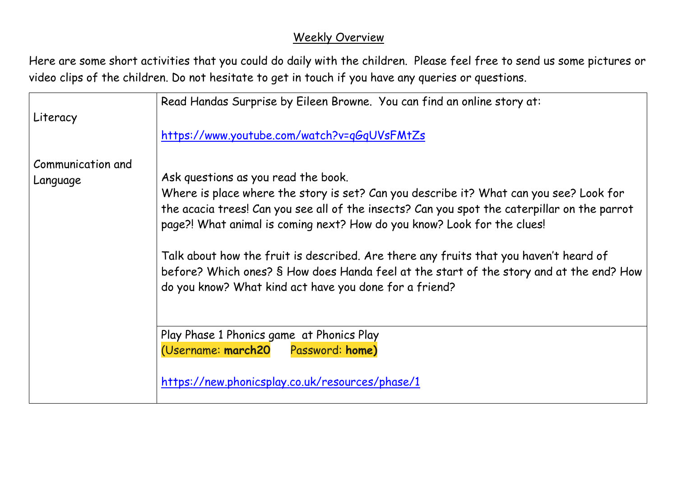## Weekly Overview

Here are some short activities that you could do daily with the children. Please feel free to send us some pictures or video clips of the children. Do not hesitate to get in touch if you have any queries or questions.

|                   | Read Handas Surprise by Eileen Browne. You can find an online story at:                                                                                                                                                                    |
|-------------------|--------------------------------------------------------------------------------------------------------------------------------------------------------------------------------------------------------------------------------------------|
| Literacy          |                                                                                                                                                                                                                                            |
|                   | https://www.youtube.com/watch?v=qGqUVsFMtZs                                                                                                                                                                                                |
| Communication and |                                                                                                                                                                                                                                            |
| Language          | Ask questions as you read the book.                                                                                                                                                                                                        |
|                   | Where is place where the story is set? Can you describe it? What can you see? Look for                                                                                                                                                     |
|                   | the acacia trees! Can you see all of the insects? Can you spot the caterpillar on the parrot                                                                                                                                               |
|                   | page?! What animal is coming next? How do you know? Look for the clues!                                                                                                                                                                    |
|                   | Talk about how the fruit is described. Are there any fruits that you haven't heard of<br>before? Which ones? S How does Handa feel at the start of the story and at the end? How<br>do you know? What kind act have you done for a friend? |
|                   | Play Phase 1 Phonics game at Phonics Play                                                                                                                                                                                                  |
|                   | (Username: march20 Password: home)                                                                                                                                                                                                         |
|                   | https://new.phonicsplay.co.uk/resources/phase/1                                                                                                                                                                                            |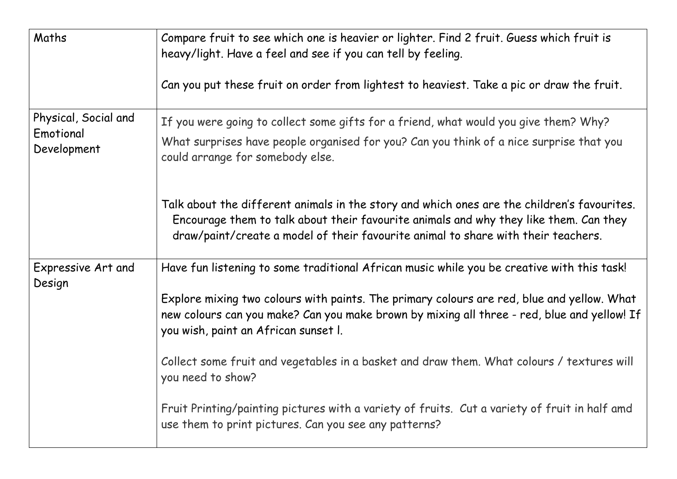| Maths                                            | Compare fruit to see which one is heavier or lighter. Find 2 fruit. Guess which fruit is<br>heavy/light. Have a feel and see if you can tell by feeling.<br>Can you put these fruit on order from lightest to heaviest. Take a pic or draw the fruit.                     |
|--------------------------------------------------|---------------------------------------------------------------------------------------------------------------------------------------------------------------------------------------------------------------------------------------------------------------------------|
|                                                  |                                                                                                                                                                                                                                                                           |
| Physical, Social and<br>Emotional<br>Development | If you were going to collect some gifts for a friend, what would you give them? Why?                                                                                                                                                                                      |
|                                                  | What surprises have people organised for you? Can you think of a nice surprise that you<br>could arrange for somebody else.                                                                                                                                               |
|                                                  | Talk about the different animals in the story and which ones are the children's favourites.<br>Encourage them to talk about their favourite animals and why they like them. Can they<br>draw/paint/create a model of their favourite animal to share with their teachers. |
| Expressive Art and<br>Design                     | Have fun listening to some traditional African music while you be creative with this task!                                                                                                                                                                                |
|                                                  | Explore mixing two colours with paints. The primary colours are red, blue and yellow. What<br>new colours can you make? Can you make brown by mixing all three - red, blue and yellow! If<br>you wish, paint an African sunset I.                                         |
|                                                  | Collect some fruit and vegetables in a basket and draw them. What colours / textures will<br>you need to show?                                                                                                                                                            |
|                                                  | Fruit Printing/painting pictures with a variety of fruits. Cut a variety of fruit in half amd<br>use them to print pictures. Can you see any patterns?                                                                                                                    |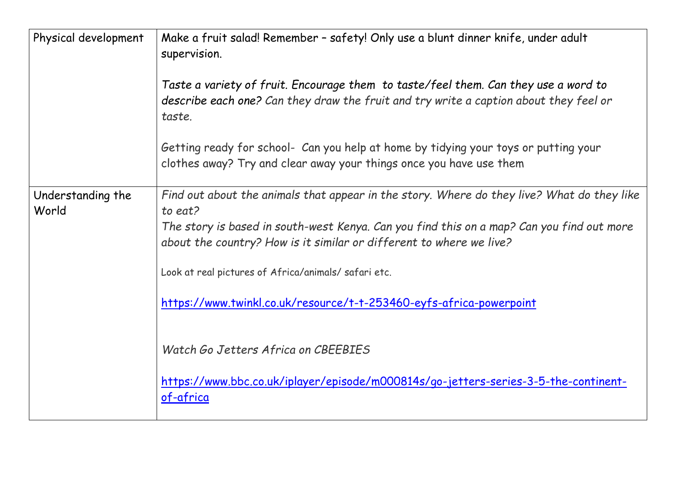| Physical development       | Make a fruit salad! Remember - safety! Only use a blunt dinner knife, under adult<br>supervision.<br>Taste a variety of fruit. Encourage them to taste/feel them. Can they use a word to<br>describe each one? Can they draw the fruit and try write a caption about they feel or<br>taste.                                                                                                              |
|----------------------------|----------------------------------------------------------------------------------------------------------------------------------------------------------------------------------------------------------------------------------------------------------------------------------------------------------------------------------------------------------------------------------------------------------|
|                            | Getting ready for school- Can you help at home by tidying your toys or putting your<br>clothes away? Try and clear away your things once you have use them                                                                                                                                                                                                                                               |
| Understanding the<br>World | Find out about the animals that appear in the story. Where do they live? What do they like<br>to eat?<br>The story is based in south-west Kenya. Can you find this on a map? Can you find out more<br>about the country? How is it similar or different to where we live?<br>Look at real pictures of Africa/animals/ safari etc.<br>https://www.twinkl.co.uk/resource/t-t-253460-eyfs-africa-powerpoint |
|                            | Watch Go Jetters Africa on CBEEBIES<br>https://www.bbc.co.uk/iplayer/episode/m000814s/qo-jetters-series-3-5-the-continent-<br>of-africa                                                                                                                                                                                                                                                                  |